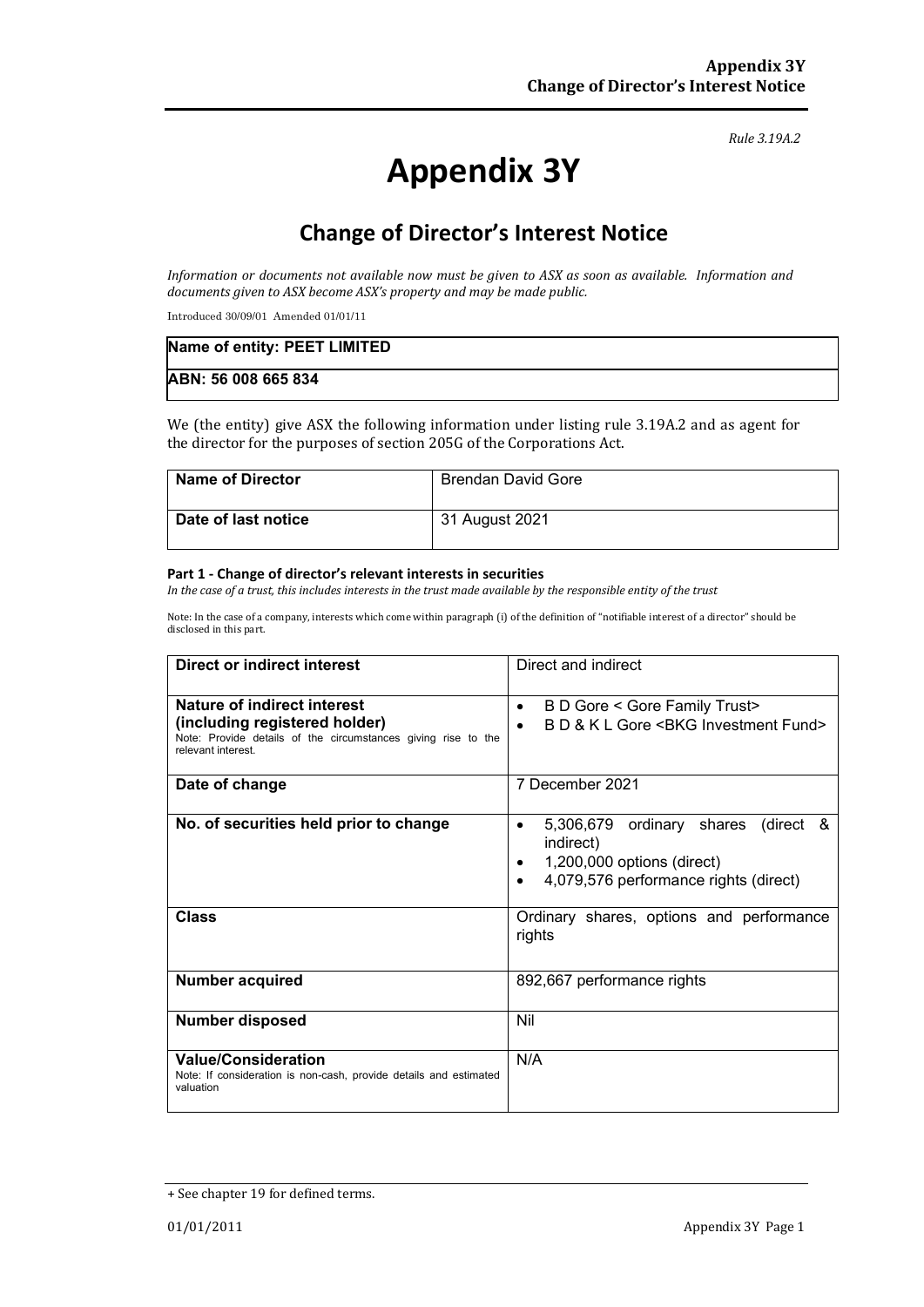#### *Rule 3.19A.2*

# **Appendix 3Y**

# **Change of Director's Interest Notice**

*Information or documents not available now must be given to ASX as soon as available. Information and documents given to ASX become ASX's property and may be made public.*

Introduced 30/09/01 Amended 01/01/11

| Name of entity: PEET LIMITED |  |
|------------------------------|--|
| ABN: 56 008 665 834          |  |

We (the entity) give ASX the following information under listing rule 3.19A.2 and as agent for the director for the purposes of section 205G of the Corporations Act.

| <b>Name of Director</b> | Brendan David Gore |
|-------------------------|--------------------|
| Date of last notice     | 31 August 2021     |

#### **Part 1 - Change of director's relevant interests in securities**

*In the case of a trust, this includes interests in the trust made available by the responsible entity of the trust*

Note: In the case of a company, interests which come within paragraph (i) of the definition of "notifiable interest of a director" should be disclosed in this part.

| <b>Direct or indirect interest</b>                                                                                   | Direct and indirect                                                                                                          |  |
|----------------------------------------------------------------------------------------------------------------------|------------------------------------------------------------------------------------------------------------------------------|--|
| Nature of indirect interest                                                                                          | B D Gore < Gore Family Trust><br>٠                                                                                           |  |
| (including registered holder)<br>Note: Provide details of the circumstances giving rise to the<br>relevant interest. | B D & K L Gore < BKG Investment Fund>                                                                                        |  |
| Date of change                                                                                                       | 7 December 2021                                                                                                              |  |
| No. of securities held prior to change                                                                               | 5,306,679 ordinary shares (direct &<br>٠<br>indirect)<br>1,200,000 options (direct)<br>4,079,576 performance rights (direct) |  |
| <b>Class</b>                                                                                                         | Ordinary shares, options and performance<br>rights                                                                           |  |
| <b>Number acquired</b>                                                                                               | 892,667 performance rights                                                                                                   |  |
| <b>Number disposed</b>                                                                                               | Nil                                                                                                                          |  |
| <b>Value/Consideration</b><br>Note: If consideration is non-cash, provide details and estimated<br>valuation         | N/A                                                                                                                          |  |

<sup>+</sup> See chapter 19 for defined terms.